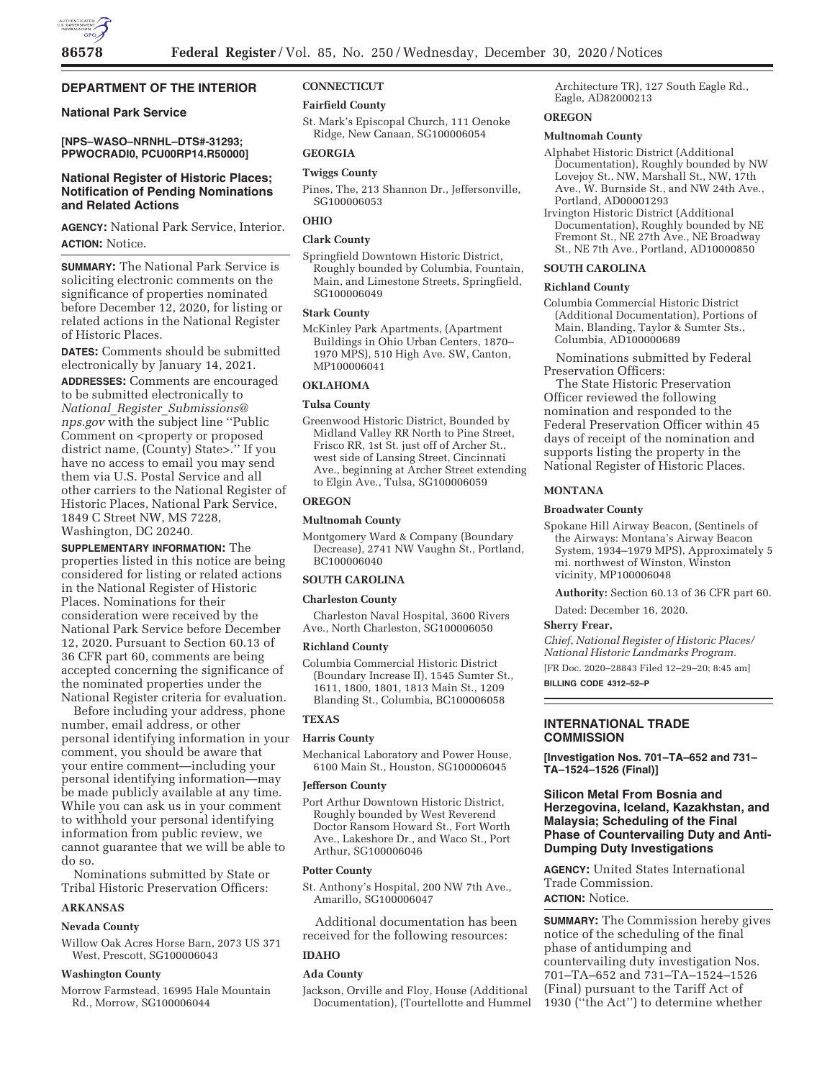# **DEPARTMENT OF THE INTERIOR**

## **National Park Service**

**[NPS–WASO–NRNHL–DTS#-31293; PPWOCRADI0, PCU00RP14.R50000]** 

# **National Register of Historic Places; Notification of Pending Nominations and Related Actions**

**AGENCY:** National Park Service, Interior. **ACTION:** Notice.

**SUMMARY:** The National Park Service is soliciting electronic comments on the significance of properties nominated before December 12, 2020, for listing or related actions in the National Register of Historic Places.

**DATES:** Comments should be submitted electronically by January 14, 2021.

**ADDRESSES:** Comments are encouraged to be submitted electronically to *National*\_*Register*\_*Submissions@ nps.gov* with the subject line ''Public Comment on <property or proposed district name, (County) State>.'' If you have no access to email you may send them via U.S. Postal Service and all other carriers to the National Register of Historic Places, National Park Service, 1849 C Street NW, MS 7228, Washington, DC 20240.

**SUPPLEMENTARY INFORMATION:** The properties listed in this notice are being considered for listing or related actions in the National Register of Historic Places. Nominations for their consideration were received by the National Park Service before December 12, 2020. Pursuant to Section 60.13 of 36 CFR part 60, comments are being accepted concerning the significance of the nominated properties under the National Register criteria for evaluation.

Before including your address, phone number, email address, or other personal identifying information in your comment, you should be aware that your entire comment—including your personal identifying information—may be made publicly available at any time. While you can ask us in your comment to withhold your personal identifying information from public review, we cannot guarantee that we will be able to do so.

Nominations submitted by State or Tribal Historic Preservation Officers:

### **ARKANSAS**

# **Nevada County**

Willow Oak Acres Horse Barn, 2073 US 371 West, Prescott, SG100006043

### **Washington County**

Morrow Farmstead, 16995 Hale Mountain Rd., Morrow, SG100006044

# **CONNECTICUT**

# **Fairfield County**

St. Mark's Episcopal Church, 111 Oenoke Ridge, New Canaan, SG100006054

# **GEORGIA**

# **Twiggs County**

Pines, The, 213 Shannon Dr., Jeffersonville, SG100006053

# **OHIO**

### **Clark County**

Springfield Downtown Historic District, Roughly bounded by Columbia, Fountain, Main, and Limestone Streets, Springfield, SG100006049

# **Stark County**

McKinley Park Apartments, (Apartment Buildings in Ohio Urban Centers, 1870– 1970 MPS), 510 High Ave. SW, Canton, MP100006041

### **OKLAHOMA**

### **Tulsa County**

Greenwood Historic District, Bounded by Midland Valley RR North to Pine Street, Frisco RR, 1st St. just off of Archer St., west side of Lansing Street, Cincinnati Ave., beginning at Archer Street extending to Elgin Ave., Tulsa, SG100006059

# **OREGON**

### **Multnomah County**

Montgomery Ward & Company (Boundary Decrease), 2741 NW Vaughn St., Portland, BC100006040

# **SOUTH CAROLINA**

### **Charleston County**

Charleston Naval Hospital, 3600 Rivers Ave., North Charleston, SG100006050

#### **Richland County**

Columbia Commercial Historic District (Boundary Increase II), 1545 Sumter St., 1611, 1800, 1801, 1813 Main St., 1209 Blanding St., Columbia, BC100006058

# **TEXAS**

# **Harris County**

Mechanical Laboratory and Power House, 6100 Main St., Houston, SG100006045

### **Jefferson County**

Port Arthur Downtown Historic District, Roughly bounded by West Reverend Doctor Ransom Howard St., Fort Worth Ave., Lakeshore Dr., and Waco St., Port Arthur, SG100006046

#### **Potter County**

St. Anthony's Hospital, 200 NW 7th Ave., Amarillo, SG100006047

Additional documentation has been received for the following resources:

### **IDAHO**

## **Ada County**

Jackson, Orville and Floy, House (Additional Documentation), (Tourtellotte and Hummel

Architecture TR), 127 South Eagle Rd., Eagle, AD82000213

## **OREGON**

### **Multnomah County**

- Alphabet Historic District (Additional Documentation), Roughly bounded by NW Lovejoy St., NW, Marshall St., NW, 17th Ave., W. Burnside St., and NW 24th Ave., Portland, AD00001293
- Irvington Historic District (Additional Documentation), Roughly bounded by NE Fremont St., NE 27th Ave., NE Broadway St., NE 7th Ave., Portland, AD10000850

# **SOUTH CAROLINA**

# **Richland County**

Columbia Commercial Historic District (Additional Documentation), Portions of Main, Blanding, Taylor & Sumter Sts., Columbia, AD100000689

Nominations submitted by Federal Preservation Officers:

The State Historic Preservation Officer reviewed the following nomination and responded to the Federal Preservation Officer within 45 days of receipt of the nomination and supports listing the property in the National Register of Historic Places.

### **MONTANA**

### **Broadwater County**

Spokane Hill Airway Beacon, (Sentinels of the Airways: Montana's Airway Beacon System, 1934–1979 MPS), Approximately 5 mi. northwest of Winston, Winston vicinity, MP100006048

**Authority:** Section 60.13 of 36 CFR part 60.

Dated: December 16, 2020.

### **Sherry Frear,**

*Chief, National Register of Historic Places/ National Historic Landmarks Program.* 

[FR Doc. 2020–28843 Filed 12–29–20; 8:45 am] **BILLING CODE 4312–52–P** 

# **INTERNATIONAL TRADE COMMISSION**

**[Investigation Nos. 701–TA–652 and 731– TA–1524–1526 (Final)]** 

# **Silicon Metal From Bosnia and Herzegovina, Iceland, Kazakhstan, and Malaysia; Scheduling of the Final Phase of Countervailing Duty and Anti-Dumping Duty Investigations**

**AGENCY:** United States International Trade Commission. **ACTION:** Notice.

**SUMMARY:** The Commission hereby gives notice of the scheduling of the final phase of antidumping and countervailing duty investigation Nos. 701–TA–652 and 731–TA–1524–1526 (Final) pursuant to the Tariff Act of 1930 (''the Act'') to determine whether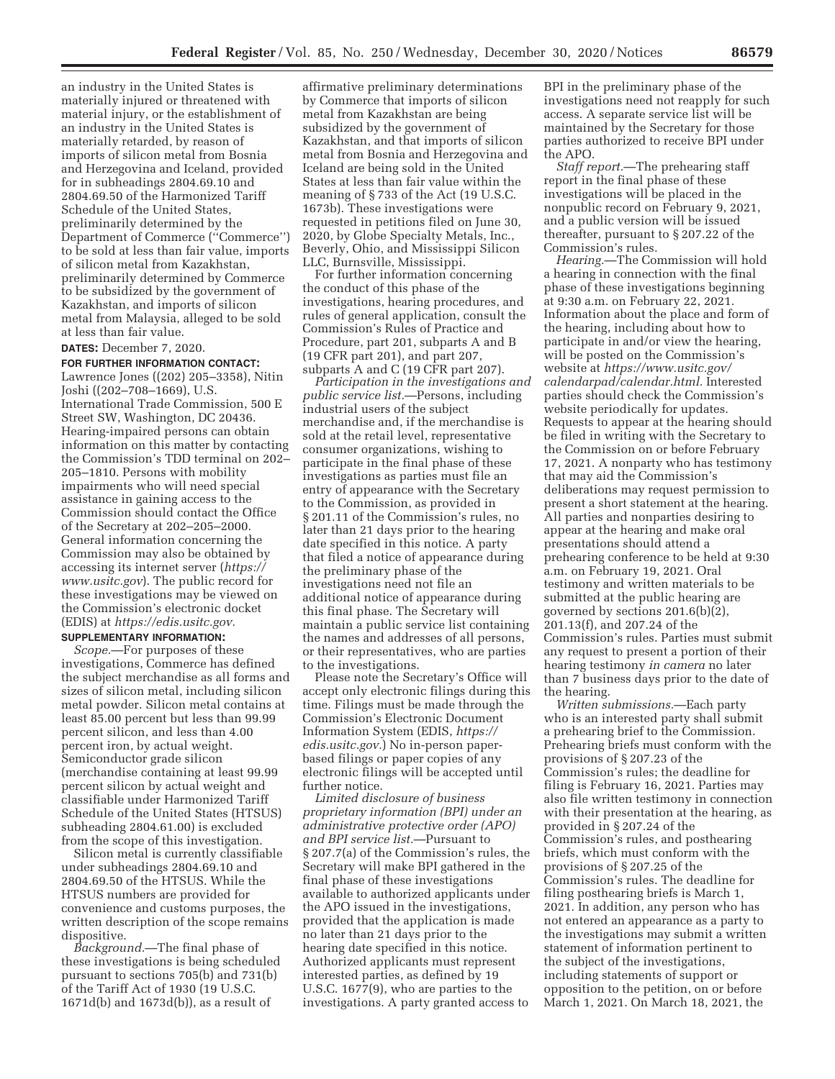an industry in the United States is materially injured or threatened with material injury, or the establishment of an industry in the United States is materially retarded, by reason of imports of silicon metal from Bosnia and Herzegovina and Iceland, provided for in subheadings 2804.69.10 and 2804.69.50 of the Harmonized Tariff Schedule of the United States, preliminarily determined by the Department of Commerce (''Commerce'') to be sold at less than fair value, imports of silicon metal from Kazakhstan, preliminarily determined by Commerce to be subsidized by the government of Kazakhstan, and imports of silicon metal from Malaysia, alleged to be sold at less than fair value.

**DATES:** December 7, 2020.

### **FOR FURTHER INFORMATION CONTACT:**

Lawrence Jones ((202) 205–3358), Nitin Joshi ((202–708–1669), U.S. International Trade Commission, 500 E Street SW, Washington, DC 20436. Hearing-impaired persons can obtain information on this matter by contacting the Commission's TDD terminal on 202– 205–1810. Persons with mobility impairments who will need special assistance in gaining access to the Commission should contact the Office of the Secretary at 202–205–2000. General information concerning the Commission may also be obtained by accessing its internet server (*https:// www.usitc.gov*). The public record for these investigations may be viewed on the Commission's electronic docket (EDIS) at *https://edis.usitc.gov.* 

# **SUPPLEMENTARY INFORMATION:**

*Scope.*—For purposes of these investigations, Commerce has defined the subject merchandise as all forms and sizes of silicon metal, including silicon metal powder. Silicon metal contains at least 85.00 percent but less than 99.99 percent silicon, and less than 4.00 percent iron, by actual weight. Semiconductor grade silicon (merchandise containing at least 99.99 percent silicon by actual weight and classifiable under Harmonized Tariff Schedule of the United States (HTSUS) subheading 2804.61.00) is excluded from the scope of this investigation.

Silicon metal is currently classifiable under subheadings 2804.69.10 and 2804.69.50 of the HTSUS. While the HTSUS numbers are provided for convenience and customs purposes, the written description of the scope remains dispositive.

*Background.*—The final phase of these investigations is being scheduled pursuant to sections 705(b) and 731(b) of the Tariff Act of 1930 (19 U.S.C. 1671d(b) and 1673d(b)), as a result of

affirmative preliminary determinations by Commerce that imports of silicon metal from Kazakhstan are being subsidized by the government of Kazakhstan, and that imports of silicon metal from Bosnia and Herzegovina and Iceland are being sold in the United States at less than fair value within the meaning of § 733 of the Act (19 U.S.C. 1673b). These investigations were requested in petitions filed on June 30, 2020, by Globe Specialty Metals, Inc., Beverly, Ohio, and Mississippi Silicon LLC, Burnsville, Mississippi.

For further information concerning the conduct of this phase of the investigations, hearing procedures, and rules of general application, consult the Commission's Rules of Practice and Procedure, part 201, subparts A and B (19 CFR part 201), and part 207, subparts A and C (19 CFR part 207).

*Participation in the investigations and public service list.*—Persons, including industrial users of the subject merchandise and, if the merchandise is sold at the retail level, representative consumer organizations, wishing to participate in the final phase of these investigations as parties must file an entry of appearance with the Secretary to the Commission, as provided in § 201.11 of the Commission's rules, no later than 21 days prior to the hearing date specified in this notice. A party that filed a notice of appearance during the preliminary phase of the investigations need not file an additional notice of appearance during this final phase. The Secretary will maintain a public service list containing the names and addresses of all persons, or their representatives, who are parties to the investigations.

Please note the Secretary's Office will accept only electronic filings during this time. Filings must be made through the Commission's Electronic Document Information System (EDIS, *https:// edis.usitc.gov.*) No in-person paperbased filings or paper copies of any electronic filings will be accepted until further notice.

*Limited disclosure of business proprietary information (BPI) under an administrative protective order (APO) and BPI service list.*—Pursuant to § 207.7(a) of the Commission's rules, the Secretary will make BPI gathered in the final phase of these investigations available to authorized applicants under the APO issued in the investigations, provided that the application is made no later than 21 days prior to the hearing date specified in this notice. Authorized applicants must represent interested parties, as defined by 19 U.S.C. 1677(9), who are parties to the investigations. A party granted access to

BPI in the preliminary phase of the investigations need not reapply for such access. A separate service list will be maintained by the Secretary for those parties authorized to receive BPI under the APO.

*Staff report.*—The prehearing staff report in the final phase of these investigations will be placed in the nonpublic record on February 9, 2021, and a public version will be issued thereafter, pursuant to § 207.22 of the Commission's rules.

*Hearing.*—The Commission will hold a hearing in connection with the final phase of these investigations beginning at 9:30 a.m. on February 22, 2021. Information about the place and form of the hearing, including about how to participate in and/or view the hearing, will be posted on the Commission's website at *https://www.usitc.gov/ calendarpad/calendar.html.* Interested parties should check the Commission's website periodically for updates. Requests to appear at the hearing should be filed in writing with the Secretary to the Commission on or before February 17, 2021. A nonparty who has testimony that may aid the Commission's deliberations may request permission to present a short statement at the hearing. All parties and nonparties desiring to appear at the hearing and make oral presentations should attend a prehearing conference to be held at 9:30 a.m. on February 19, 2021. Oral testimony and written materials to be submitted at the public hearing are governed by sections 201.6(b)(2), 201.13(f), and 207.24 of the Commission's rules. Parties must submit any request to present a portion of their hearing testimony *in camera* no later than 7 business days prior to the date of the hearing.

*Written submissions.*—Each party who is an interested party shall submit a prehearing brief to the Commission. Prehearing briefs must conform with the provisions of § 207.23 of the Commission's rules; the deadline for filing is February 16, 2021. Parties may also file written testimony in connection with their presentation at the hearing, as provided in § 207.24 of the Commission's rules, and posthearing briefs, which must conform with the provisions of § 207.25 of the Commission's rules. The deadline for filing posthearing briefs is March 1, 2021. In addition, any person who has not entered an appearance as a party to the investigations may submit a written statement of information pertinent to the subject of the investigations, including statements of support or opposition to the petition, on or before March 1, 2021. On March 18, 2021, the